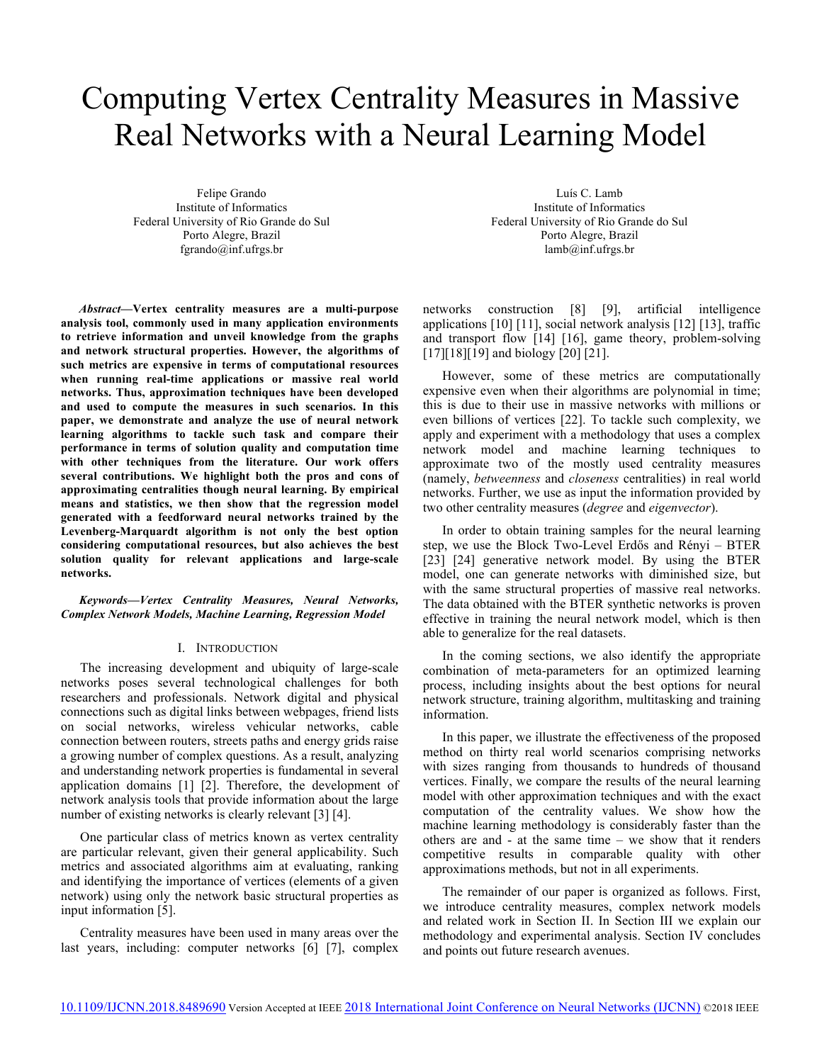# Computing Vertex Centrality Measures in Massive Real Networks with a Neural Learning Model

Felipe Grando Institute of Informatics Federal University of Rio Grande do Sul Porto Alegre, Brazil fgrando@inf.ufrgs.br

*Abstract***—Vertex centrality measures are a multi-purpose analysis tool, commonly used in many application environments to retrieve information and unveil knowledge from the graphs and network structural properties. However, the algorithms of such metrics are expensive in terms of computational resources when running real-time applications or massive real world networks. Thus, approximation techniques have been developed and used to compute the measures in such scenarios. In this paper, we demonstrate and analyze the use of neural network learning algorithms to tackle such task and compare their performance in terms of solution quality and computation time with other techniques from the literature. Our work offers several contributions. We highlight both the pros and cons of approximating centralities though neural learning. By empirical means and statistics, we then show that the regression model generated with a feedforward neural networks trained by the Levenberg-Marquardt algorithm is not only the best option considering computational resources, but also achieves the best solution quality for relevant applications and large-scale networks.**

*Keywords—Vertex Centrality Measures, Neural Networks, Complex Network Models, Machine Learning, Regression Model*

#### I. INTRODUCTION

The increasing development and ubiquity of large-scale networks poses several technological challenges for both researchers and professionals. Network digital and physical connections such as digital links between webpages, friend lists on social networks, wireless vehicular networks, cable connection between routers, streets paths and energy grids raise a growing number of complex questions. As a result, analyzing and understanding network properties is fundamental in several application domains [1] [2]. Therefore, the development of network analysis tools that provide information about the large number of existing networks is clearly relevant [3] [4].

One particular class of metrics known as vertex centrality are particular relevant, given their general applicability. Such metrics and associated algorithms aim at evaluating, ranking and identifying the importance of vertices (elements of a given network) using only the network basic structural properties as input information [5].

Centrality measures have been used in many areas over the last years, including: computer networks [6] [7], complex

Luís C. Lamb Institute of Informatics Federal University of Rio Grande do Sul Porto Alegre, Brazil lamb@inf.ufrgs.br

networks construction [8] [9], artificial intelligence applications [10] [11], social network analysis [12] [13], traffic and transport flow [14] [16], game theory, problem-solving [17][18][19] and biology [20] [21].

However, some of these metrics are computationally expensive even when their algorithms are polynomial in time; this is due to their use in massive networks with millions or even billions of vertices [22]. To tackle such complexity, we apply and experiment with a methodology that uses a complex network model and machine learning techniques to approximate two of the mostly used centrality measures (namely, *betweenness* and *closeness* centralities) in real world networks. Further, we use as input the information provided by two other centrality measures (*degree* and *eigenvector*).

In order to obtain training samples for the neural learning step, we use the Block Two-Level Erdős and Rényi – BTER [23] [24] generative network model. By using the BTER model, one can generate networks with diminished size, but with the same structural properties of massive real networks. The data obtained with the BTER synthetic networks is proven effective in training the neural network model, which is then able to generalize for the real datasets.

In the coming sections, we also identify the appropriate combination of meta-parameters for an optimized learning process, including insights about the best options for neural network structure, training algorithm, multitasking and training information.

In this paper, we illustrate the effectiveness of the proposed method on thirty real world scenarios comprising networks with sizes ranging from thousands to hundreds of thousand vertices. Finally, we compare the results of the neural learning model with other approximation techniques and with the exact computation of the centrality values. We show how the machine learning methodology is considerably faster than the others are and - at the same time – we show that it renders competitive results in comparable quality with other approximations methods, but not in all experiments.

The remainder of our paper is organized as follows. First, we introduce centrality measures, complex network models and related work in Section II. In Section III we explain our methodology and experimental analysis. Section IV concludes and points out future research avenues.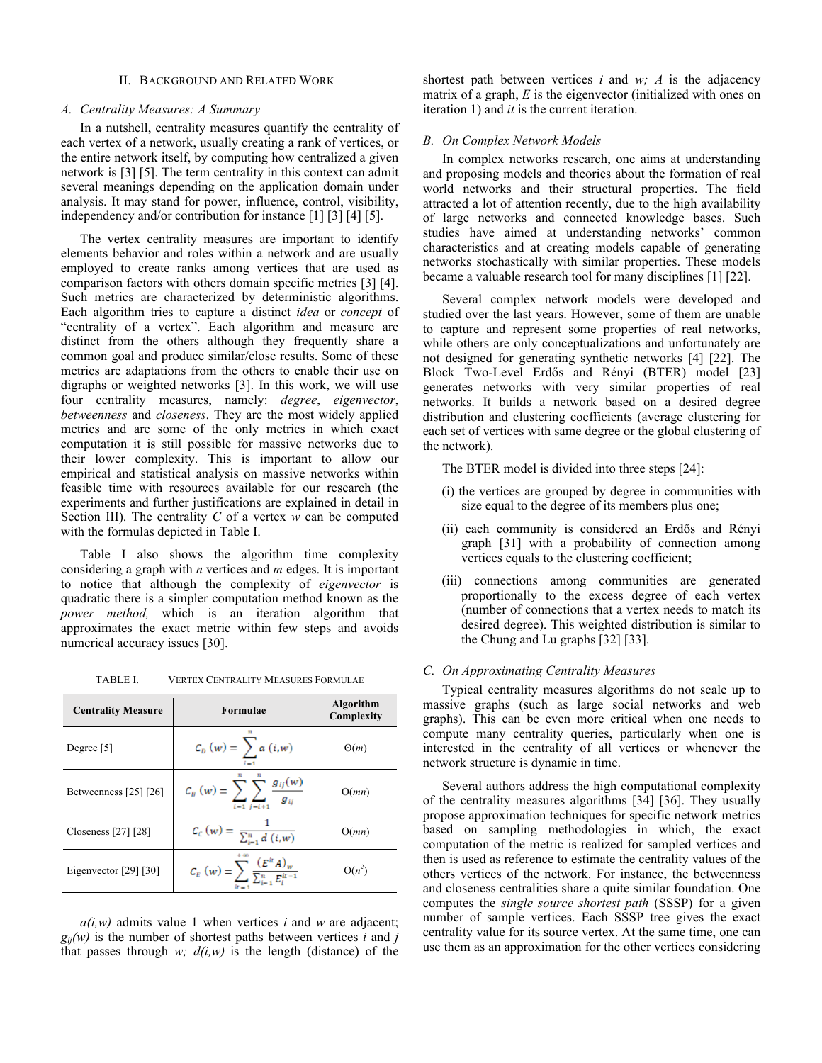#### II. BACKGROUND AND RELATED WORK

#### *A. Centrality Measures: A Summary*

In a nutshell, centrality measures quantify the centrality of each vertex of a network, usually creating a rank of vertices, or the entire network itself, by computing how centralized a given network is [3] [5]. The term centrality in this context can admit several meanings depending on the application domain under analysis. It may stand for power, influence, control, visibility, independency and/or contribution for instance [1] [3] [4] [5].

The vertex centrality measures are important to identify elements behavior and roles within a network and are usually employed to create ranks among vertices that are used as comparison factors with others domain specific metrics [3] [4]. Such metrics are characterized by deterministic algorithms. Each algorithm tries to capture a distinct *idea* or *concept* of "centrality of a vertex". Each algorithm and measure are distinct from the others although they frequently share a common goal and produce similar/close results. Some of these metrics are adaptations from the others to enable their use on digraphs or weighted networks [3]. In this work, we will use four centrality measures, namely: *degree*, *eigenvector*, *betweenness* and *closeness*. They are the most widely applied metrics and are some of the only metrics in which exact computation it is still possible for massive networks due to their lower complexity. This is important to allow our empirical and statistical analysis on massive networks within feasible time with resources available for our research (the experiments and further justifications are explained in detail in Section III). The centrality *C* of a vertex *w* can be computed with the formulas depicted in Table I.

Table I also shows the algorithm time complexity considering a graph with *n* vertices and *m* edges. It is important to notice that although the complexity of *eigenvector* is quadratic there is a simpler computation method known as the *power method,* which is an iteration algorithm that approximates the exact metric within few steps and avoids numerical accuracy issues [30].

| <b>VERTEX CENTRALITY MEASURES FORMULAE</b><br>TABLE I. |
|--------------------------------------------------------|
|--------------------------------------------------------|

| <b>Centrality Measure</b> | Formulae                                                                                 | Algorithm<br>Complexity |
|---------------------------|------------------------------------------------------------------------------------------|-------------------------|
| Degree $\lceil 5 \rceil$  | $C_{D}(w) = \sum_{i} \alpha(i,w)$<br>$i - 1$                                             | $\Theta(m)$             |
| Betweenness [25] [26]     | $C_B(w) = \sum_{i=1}^{n} \sum_{i=1}^{n} \frac{g_{ij}(w)}{g_{ij}}$<br>$i = 1$ $i = i + 1$ | O(mn)                   |
| Closeness $[27]$ $[28]$   | $C_c(w) = \frac{1}{\sum_{i=1}^n d(i,w)}$                                                 | O(mn)                   |
| Eigenvector $[29]$ $[30]$ | $C_{E} (w) = \sum_{k=1}^{\infty} \frac{(E^{kt} A)_{w}}{\sum_{k=1}^{n} E_{k}^{kt-1}}$     | $O(n^2)$                |

*a(i,w)* admits value 1 when vertices *i* and *w* are adjacent;  $g_{ii}(w)$  is the number of shortest paths between vertices *i* and *j* that passes through *w;*  $d(i, w)$  is the length (distance) of the shortest path between vertices *i* and *w; A* is the adjacency matrix of a graph, *E* is the eigenvector (initialized with ones on iteration 1) and *it* is the current iteration.

#### *B. On Complex Network Models*

In complex networks research, one aims at understanding and proposing models and theories about the formation of real world networks and their structural properties. The field attracted a lot of attention recently, due to the high availability of large networks and connected knowledge bases. Such studies have aimed at understanding networks' common characteristics and at creating models capable of generating networks stochastically with similar properties. These models became a valuable research tool for many disciplines [1] [22].

Several complex network models were developed and studied over the last years. However, some of them are unable to capture and represent some properties of real networks, while others are only conceptualizations and unfortunately are not designed for generating synthetic networks [4] [22]. The Block Two-Level Erdős and Rényi (BTER) model [23] generates networks with very similar properties of real networks. It builds a network based on a desired degree distribution and clustering coefficients (average clustering for each set of vertices with same degree or the global clustering of the network).

The BTER model is divided into three steps [24]:

- (i) the vertices are grouped by degree in communities with size equal to the degree of its members plus one;
- (ii) each community is considered an Erdős and Rényi graph [31] with a probability of connection among vertices equals to the clustering coefficient;
- (iii) connections among communities are generated proportionally to the excess degree of each vertex (number of connections that a vertex needs to match its desired degree). This weighted distribution is similar to the Chung and Lu graphs [32] [33].

# *C. On Approximating Centrality Measures*

Typical centrality measures algorithms do not scale up to massive graphs (such as large social networks and web graphs). This can be even more critical when one needs to compute many centrality queries, particularly when one is interested in the centrality of all vertices or whenever the network structure is dynamic in time.

Several authors address the high computational complexity of the centrality measures algorithms [34] [36]. They usually propose approximation techniques for specific network metrics based on sampling methodologies in which, the exact computation of the metric is realized for sampled vertices and then is used as reference to estimate the centrality values of the others vertices of the network. For instance, the betweenness and closeness centralities share a quite similar foundation. One computes the *single source shortest path* (SSSP) for a given number of sample vertices. Each SSSP tree gives the exact centrality value for its source vertex. At the same time, one can use them as an approximation for the other vertices considering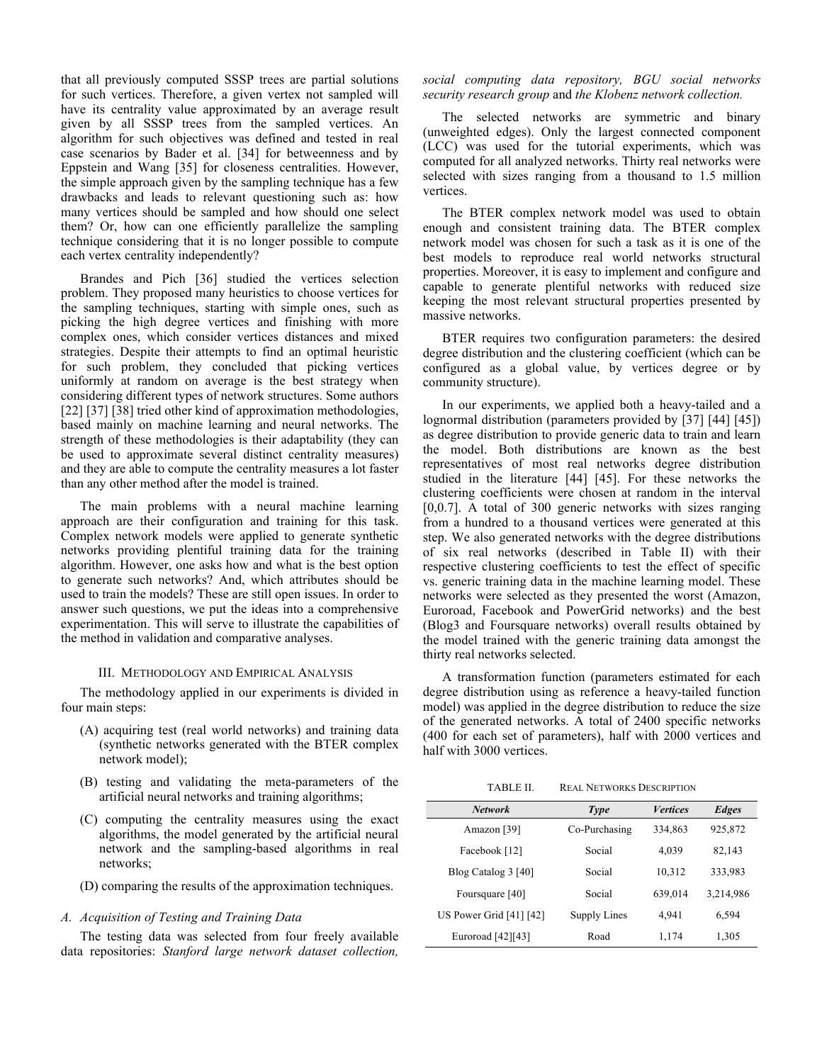that all previously computed SSSP trees are partial solutions for such vertices. Therefore, a given vertex not sampled will have its centrality value approximated by an average result given by all SSSP trees from the sampled vertices. An algorithm for such objectives was defined and tested in real case scenarios by Bader et al. [34] for betweenness and by Eppstein and Wang [35] for closeness centralities. However, the simple approach given by the sampling technique has a few drawbacks and leads to relevant questioning such as: how many vertices should be sampled and how should one select them? Or, how can one efficiently parallelize the sampling technique considering that it is no longer possible to compute each vertex centrality independently?

Brandes and Pich [36] studied the vertices selection problem. They proposed many heuristics to choose vertices for the sampling techniques, starting with simple ones, such as picking the high degree vertices and finishing with more complex ones, which consider vertices distances and mixed strategies. Despite their attempts to find an optimal heuristic for such problem, they concluded that picking vertices uniformly at random on average is the best strategy when considering different types of network structures. Some authors [22] [37] [38] tried other kind of approximation methodologies, based mainly on machine learning and neural networks. The strength of these methodologies is their adaptability (they can be used to approximate several distinct centrality measures) and they are able to compute the centrality measures a lot faster than any other method after the model is trained.

The main problems with a neural machine learning approach are their configuration and training for this task. Complex network models were applied to generate synthetic networks providing plentiful training data for the training algorithm. However, one asks how and what is the best option to generate such networks? And, which attributes should be used to train the models? These are still open issues. In order to answer such questions, we put the ideas into a comprehensive experimentation. This will serve to illustrate the capabilities of the method in validation and comparative analyses.

#### III. METHODOLOGY AND EMPIRICAL ANALYSIS

The methodology applied in our experiments is divided in four main steps:

- (A) acquiring test (real world networks) and training data (synthetic networks generated with the BTER complex network model);
- (B) testing and validating the meta-parameters of the artificial neural networks and training algorithms;
- (C) computing the centrality measures using the exact algorithms, the model generated by the artificial neural network and the sampling-based algorithms in real networks;
- (D) comparing the results of the approximation techniques.

#### *A. Acquisition of Testing and Training Data*

The testing data was selected from four freely available data repositories: *Stanford large network dataset collection,* 

# *social computing data repository, BGU social networks security research group* and *the Klobenz network collection.*

The selected networks are symmetric and binary (unweighted edges). Only the largest connected component (LCC) was used for the tutorial experiments, which was computed for all analyzed networks. Thirty real networks were selected with sizes ranging from a thousand to 1.5 million vertices.

The BTER complex network model was used to obtain enough and consistent training data. The BTER complex network model was chosen for such a task as it is one of the best models to reproduce real world networks structural properties. Moreover, it is easy to implement and configure and capable to generate plentiful networks with reduced size keeping the most relevant structural properties presented by massive networks.

BTER requires two configuration parameters: the desired degree distribution and the clustering coefficient (which can be configured as a global value, by vertices degree or by community structure).

In our experiments, we applied both a heavy-tailed and a lognormal distribution (parameters provided by [37] [44] [45]) as degree distribution to provide generic data to train and learn the model. Both distributions are known as the best representatives of most real networks degree distribution studied in the literature [44] [45]. For these networks the clustering coefficients were chosen at random in the interval [0,0.7]. A total of 300 generic networks with sizes ranging from a hundred to a thousand vertices were generated at this step. We also generated networks with the degree distributions of six real networks (described in Table II) with their respective clustering coefficients to test the effect of specific vs. generic training data in the machine learning model. These networks were selected as they presented the worst (Amazon, Euroroad, Facebook and PowerGrid networks) and the best (Blog3 and Foursquare networks) overall results obtained by the model trained with the generic training data amongst the thirty real networks selected.

A transformation function (parameters estimated for each degree distribution using as reference a heavy-tailed function model) was applied in the degree distribution to reduce the size of the generated networks. A total of 2400 specific networks (400 for each set of parameters), half with 2000 vertices and half with 3000 vertices.

TABLE II. REAL NETWORKS DESCRIPTION

| <b>Network</b>              | Type          | <b>Vertices</b> | Edges     |
|-----------------------------|---------------|-----------------|-----------|
| Amazon [39]                 | Co-Purchasing | 334,863         | 925,872   |
| Facebook [12]               | Social        | 4,039           | 82,143    |
| Blog Catalog 3 [40]         | Social        | 10,312          | 333,983   |
| Foursquare [40]             | Social        | 639,014         | 3,214,986 |
| US Power Grid $[41]$ $[42]$ | Supply Lines  | 4,941           | 6,594     |
| Euroroad [42][43]           | Road          | 1,174           | 1,305     |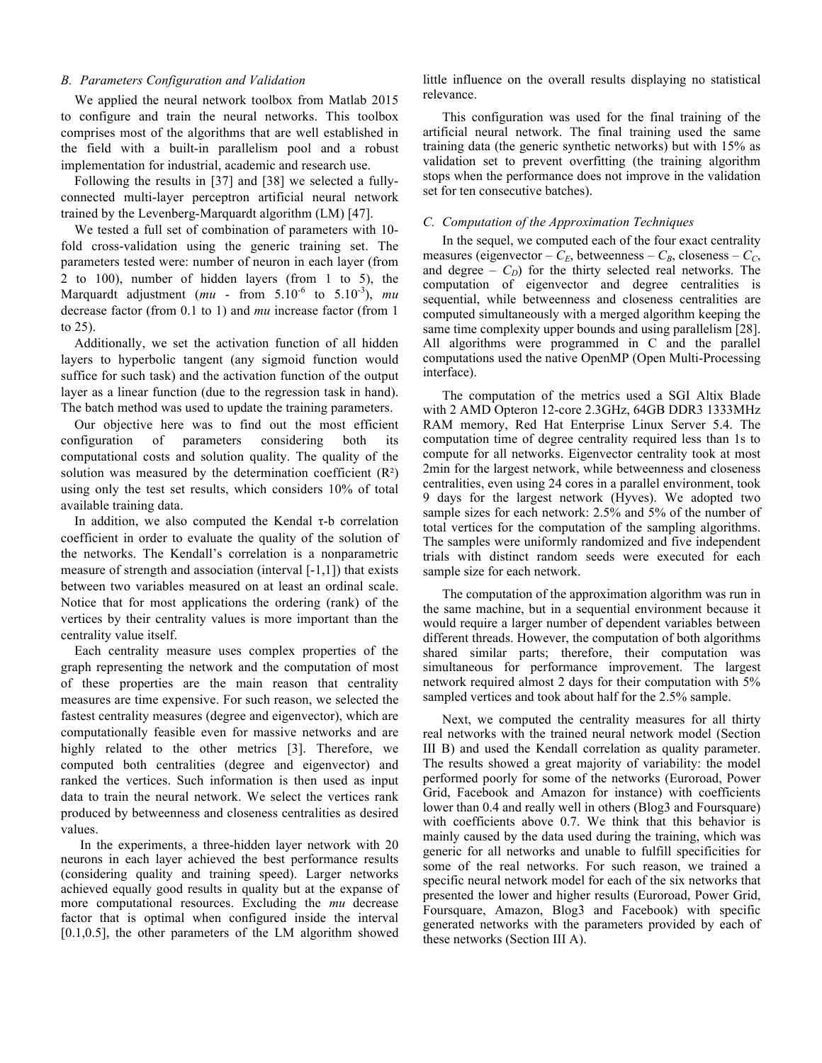## *B. Parameters Configuration and Validation*

We applied the neural network toolbox from Matlab 2015 to configure and train the neural networks. This toolbox comprises most of the algorithms that are well established in the field with a built-in parallelism pool and a robust implementation for industrial, academic and research use.

Following the results in [37] and [38] we selected a fullyconnected multi-layer perceptron artificial neural network trained by the Levenberg-Marquardt algorithm (LM) [47].

We tested a full set of combination of parameters with 10 fold cross-validation using the generic training set. The parameters tested were: number of neuron in each layer (from 2 to 100), number of hidden layers (from 1 to 5), the Marquardt adjustment ( $mu$  - from  $5.10^{-6}$  to  $5.10^{-3}$ ),  $mu$ decrease factor (from 0.1 to 1) and *mu* increase factor (from 1 to 25).

Additionally, we set the activation function of all hidden layers to hyperbolic tangent (any sigmoid function would suffice for such task) and the activation function of the output layer as a linear function (due to the regression task in hand). The batch method was used to update the training parameters.

Our objective here was to find out the most efficient configuration of parameters considering both its computational costs and solution quality. The quality of the solution was measured by the determination coefficient  $(R<sup>2</sup>)$ using only the test set results, which considers 10% of total available training data.

In addition, we also computed the Kendal  $τ$ -b correlation coefficient in order to evaluate the quality of the solution of the networks. The Kendall's correlation is a nonparametric measure of strength and association (interval  $[-1,1]$ ) that exists between two variables measured on at least an ordinal scale. Notice that for most applications the ordering (rank) of the vertices by their centrality values is more important than the centrality value itself.

Each centrality measure uses complex properties of the graph representing the network and the computation of most of these properties are the main reason that centrality measures are time expensive. For such reason, we selected the fastest centrality measures (degree and eigenvector), which are computationally feasible even for massive networks and are highly related to the other metrics [3]. Therefore, we computed both centralities (degree and eigenvector) and ranked the vertices. Such information is then used as input data to train the neural network. We select the vertices rank produced by betweenness and closeness centralities as desired values.

In the experiments, a three-hidden layer network with 20 neurons in each layer achieved the best performance results (considering quality and training speed). Larger networks achieved equally good results in quality but at the expanse of more computational resources. Excluding the *mu* decrease factor that is optimal when configured inside the interval [0.1,0.5], the other parameters of the LM algorithm showed

little influence on the overall results displaying no statistical relevance.

This configuration was used for the final training of the artificial neural network. The final training used the same training data (the generic synthetic networks) but with 15% as validation set to prevent overfitting (the training algorithm stops when the performance does not improve in the validation set for ten consecutive batches).

#### *C. Computation of the Approximation Techniques*

In the sequel, we computed each of the four exact centrality measures (eigenvector –  $C_E$ , betweenness –  $C_B$ , closeness –  $C_C$ , and degree  $C_D$ ) for the thirty selected real networks. The computation of eigenvector and degree centralities is sequential, while betweenness and closeness centralities are computed simultaneously with a merged algorithm keeping the same time complexity upper bounds and using parallelism [28]. All algorithms were programmed in C and the parallel computations used the native OpenMP (Open Multi-Processing interface).

The computation of the metrics used a SGI Altix Blade with 2 AMD Opteron 12-core 2.3GHz, 64GB DDR3 1333MHz RAM memory, Red Hat Enterprise Linux Server 5.4. The computation time of degree centrality required less than 1s to compute for all networks. Eigenvector centrality took at most 2min for the largest network, while betweenness and closeness centralities, even using 24 cores in a parallel environment, took 9 days for the largest network (Hyves). We adopted two sample sizes for each network: 2.5% and 5% of the number of total vertices for the computation of the sampling algorithms. The samples were uniformly randomized and five independent trials with distinct random seeds were executed for each sample size for each network.

The computation of the approximation algorithm was run in the same machine, but in a sequential environment because it would require a larger number of dependent variables between different threads. However, the computation of both algorithms shared similar parts; therefore, their computation was simultaneous for performance improvement. The largest network required almost 2 days for their computation with 5% sampled vertices and took about half for the 2.5% sample.

Next, we computed the centrality measures for all thirty real networks with the trained neural network model (Section III B) and used the Kendall correlation as quality parameter. The results showed a great majority of variability: the model performed poorly for some of the networks (Euroroad, Power Grid, Facebook and Amazon for instance) with coefficients lower than 0.4 and really well in others (Blog3 and Foursquare) with coefficients above 0.7. We think that this behavior is mainly caused by the data used during the training, which was generic for all networks and unable to fulfill specificities for some of the real networks. For such reason, we trained a specific neural network model for each of the six networks that presented the lower and higher results (Euroroad, Power Grid, Foursquare, Amazon, Blog3 and Facebook) with specific generated networks with the parameters provided by each of these networks (Section III A).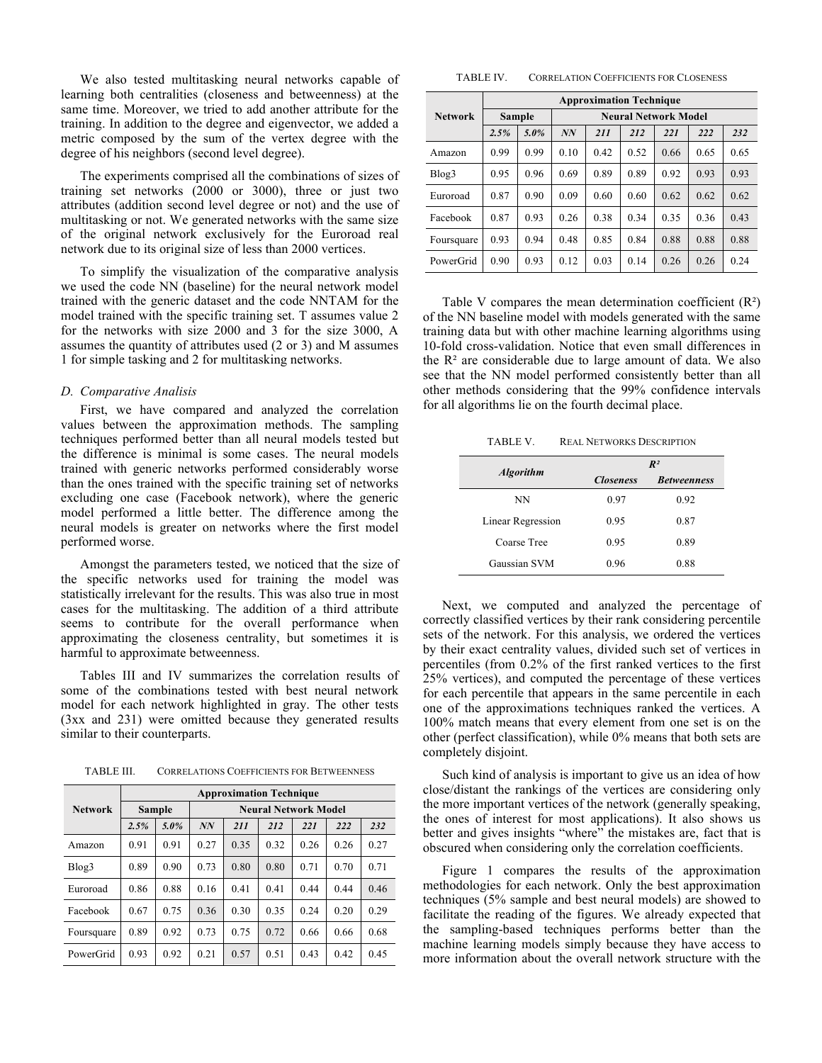We also tested multitasking neural networks capable of learning both centralities (closeness and betweenness) at the same time. Moreover, we tried to add another attribute for the training. In addition to the degree and eigenvector, we added a metric composed by the sum of the vertex degree with the degree of his neighbors (second level degree).

The experiments comprised all the combinations of sizes of training set networks (2000 or 3000), three or just two attributes (addition second level degree or not) and the use of multitasking or not. We generated networks with the same size of the original network exclusively for the Euroroad real network due to its original size of less than 2000 vertices.

To simplify the visualization of the comparative analysis we used the code NN (baseline) for the neural network model trained with the generic dataset and the code NNTAM for the model trained with the specific training set. T assumes value 2 for the networks with size 2000 and 3 for the size 3000, A assumes the quantity of attributes used (2 or 3) and M assumes 1 for simple tasking and 2 for multitasking networks.

# *D. Comparative Analisis*

First, we have compared and analyzed the correlation values between the approximation methods. The sampling techniques performed better than all neural models tested but the difference is minimal is some cases. The neural models trained with generic networks performed considerably worse than the ones trained with the specific training set of networks excluding one case (Facebook network), where the generic model performed a little better. The difference among the neural models is greater on networks where the first model performed worse.

Amongst the parameters tested, we noticed that the size of the specific networks used for training the model was statistically irrelevant for the results. This was also true in most cases for the multitasking. The addition of a third attribute seems to contribute for the overall performance when approximating the closeness centrality, but sometimes it is harmful to approximate betweenness.

Tables III and IV summarizes the correlation results of some of the combinations tested with best neural network model for each network highlighted in gray. The other tests (3xx and 231) were omitted because they generated results similar to their counterparts.

| TABLE III.<br><b>CORRELATIONS COEFFICIENTS FOR BETWEENNESS</b> |
|----------------------------------------------------------------|
|----------------------------------------------------------------|

|                | <b>Approximation Technique</b>        |         |      |      |      |      |      |      |
|----------------|---------------------------------------|---------|------|------|------|------|------|------|
| <b>Network</b> | <b>Neural Network Model</b><br>Sample |         |      |      |      |      |      |      |
|                | 2.5%                                  | $5.0\%$ | NN   | 211  | 212  | 221  | 222  | 232  |
| Amazon         | 0.91                                  | 0.91    | 0.27 | 0.35 | 0.32 | 0.26 | 0.26 | 0.27 |
| Blog3          | 0.89                                  | 0.90    | 0.73 | 0.80 | 0.80 | 0.71 | 0.70 | 0.71 |
| Euroroad       | 0.86                                  | 0.88    | 0.16 | 0.41 | 0.41 | 0.44 | 0.44 | 0.46 |
| Facebook       | 0.67                                  | 0.75    | 0.36 | 0.30 | 0.35 | 0.24 | 0.20 | 0.29 |
| Foursquare     | 0.89                                  | 0.92    | 0.73 | 0.75 | 0.72 | 0.66 | 0.66 | 0.68 |
| PowerGrid      | 0.93                                  | 0.92    | 0.21 | 0.57 | 0.51 | 0.43 | 0.42 | 0.45 |

TABLE IV. CORRELATION COEFFICIENTS FOR CLOSENESS

|                | <b>Approximation Technique</b>        |      |                |      |      |      |      |      |
|----------------|---------------------------------------|------|----------------|------|------|------|------|------|
| <b>Network</b> | <b>Neural Network Model</b><br>Sample |      |                |      |      |      |      |      |
|                | 2.5%                                  | 5.0% | N <sub>N</sub> | 211  | 212  | 221  | 222  | 232  |
| Amazon         | 0.99                                  | 0.99 | 0.10           | 0.42 | 0.52 | 0.66 | 0.65 | 0.65 |
| Blog3          | 0.95                                  | 0.96 | 0.69           | 0.89 | 0.89 | 0.92 | 0.93 | 0.93 |
| Euroroad       | 0.87                                  | 0.90 | 0.09           | 0.60 | 0.60 | 0.62 | 0.62 | 0.62 |
| Facebook       | 0.87                                  | 0.93 | 0.26           | 0.38 | 0.34 | 0.35 | 0.36 | 0.43 |
| Foursquare     | 0.93                                  | 0.94 | 0.48           | 0.85 | 0.84 | 0.88 | 0.88 | 0.88 |
| PowerGrid      | 0.90                                  | 0.93 | 0.12           | 0.03 | 0.14 | 0.26 | 0.26 | 0.24 |

Table V compares the mean determination coefficient  $(R<sup>2</sup>)$ of the NN baseline model with models generated with the same training data but with other machine learning algorithms using 10-fold cross-validation. Notice that even small differences in the  $R<sup>2</sup>$  are considerable due to large amount of data. We also see that the NN model performed consistently better than all other methods considering that the 99% confidence intervals for all algorithms lie on the fourth decimal place.

TABLE V. REAL NETWORKS DESCRIPTION

|                   | $R^2$            |                    |  |  |
|-------------------|------------------|--------------------|--|--|
| <b>Algorithm</b>  | <b>Closeness</b> | <b>Betweenness</b> |  |  |
| NN                | 0.97             | 0.92               |  |  |
| Linear Regression | 0.95             | 0.87               |  |  |
| Coarse Tree       | 0.95             | 0.89               |  |  |
| Gaussian SVM      | 0.96             | 0.88               |  |  |

Next, we computed and analyzed the percentage of correctly classified vertices by their rank considering percentile sets of the network. For this analysis, we ordered the vertices by their exact centrality values, divided such set of vertices in percentiles (from 0.2% of the first ranked vertices to the first 25% vertices), and computed the percentage of these vertices for each percentile that appears in the same percentile in each one of the approximations techniques ranked the vertices. A 100% match means that every element from one set is on the other (perfect classification), while 0% means that both sets are completely disjoint.

Such kind of analysis is important to give us an idea of how close/distant the rankings of the vertices are considering only the more important vertices of the network (generally speaking, the ones of interest for most applications). It also shows us better and gives insights "where" the mistakes are, fact that is obscured when considering only the correlation coefficients.

Figure 1 compares the results of the approximation methodologies for each network. Only the best approximation techniques (5% sample and best neural models) are showed to facilitate the reading of the figures. We already expected that the sampling-based techniques performs better than the machine learning models simply because they have access to more information about the overall network structure with the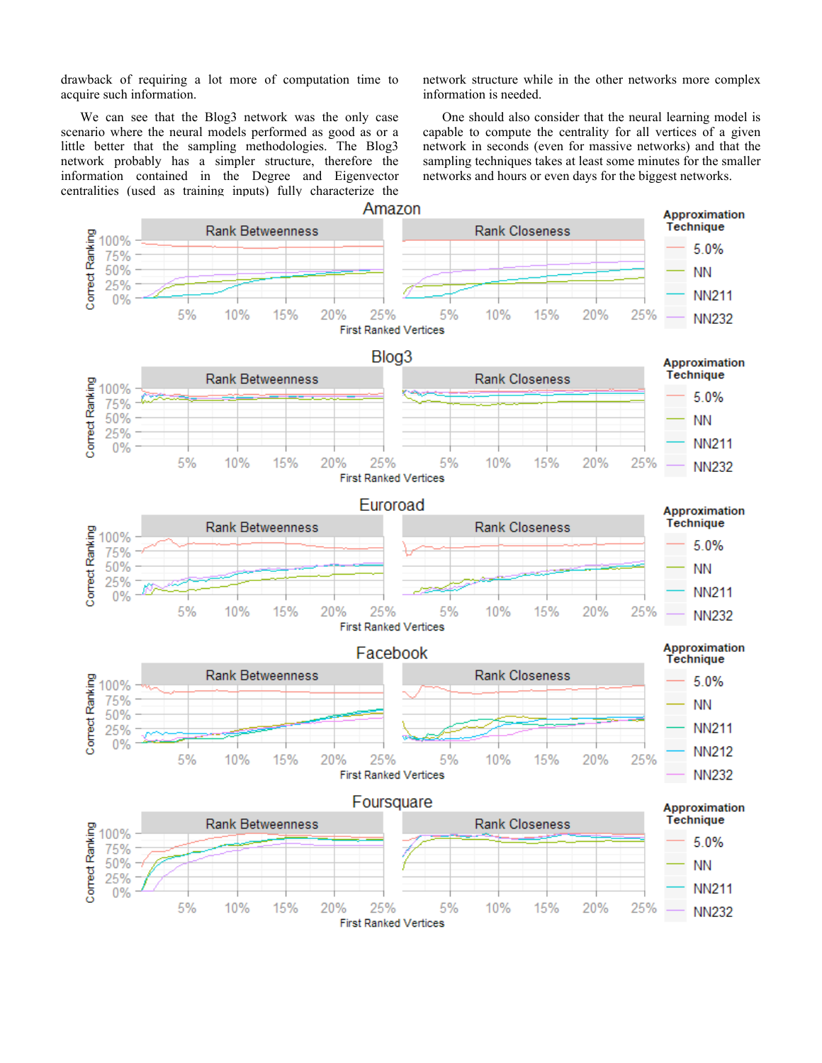drawback of requiring a lot more of computation time to acquire such information.

We can see that the Blog3 network was the only case scenario where the neural models performed as good as or a little better that the sampling methodologies. The Blog3 network probably has a simpler structure, therefore the information contained in the Degree and Eigenvector centralities (used as training inputs) fully characterize the

network structure while in the other networks more complex information is needed.

One should also consider that the neural learning model is capable to compute the centrality for all vertices of a given network in seconds (even for massive networks) and that the sampling techniques takes at least some minutes for the smaller networks and hours or even days for the biggest networks.

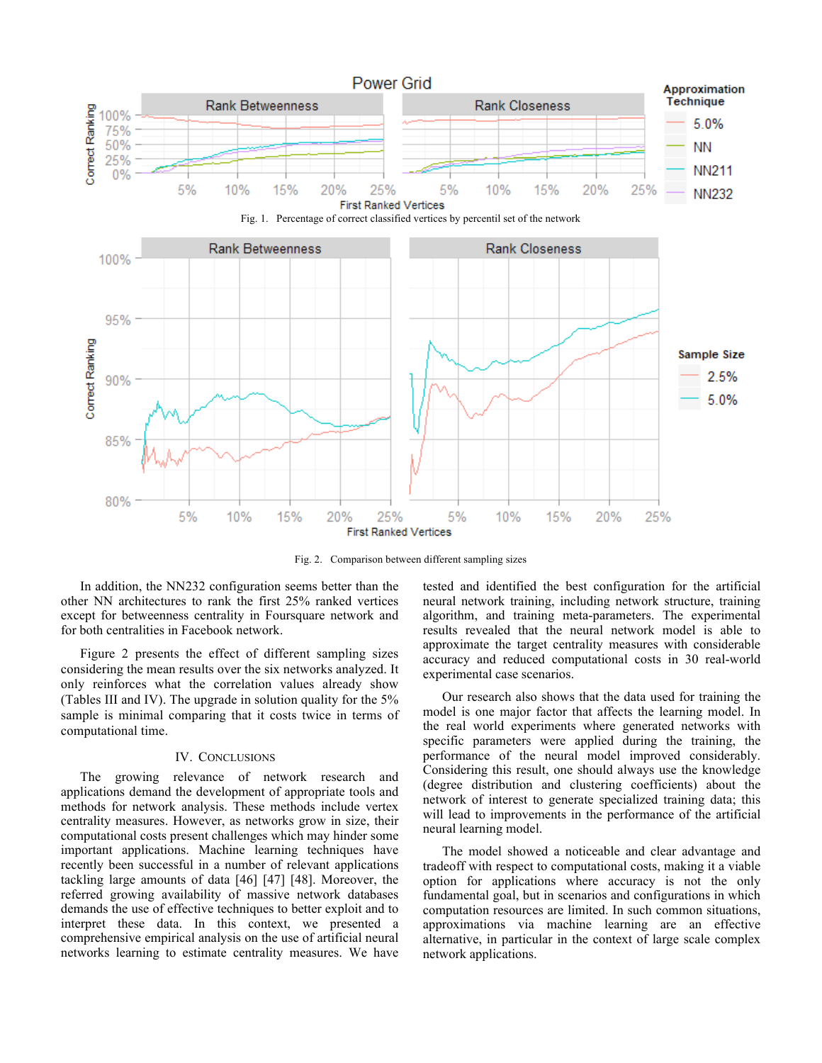

Fig. 2. Comparison between different sampling sizes

In addition, the NN232 configuration seems better than the other NN architectures to rank the first 25% ranked vertices except for betweenness centrality in Foursquare network and for both centralities in Facebook network.

Figure 2 presents the effect of different sampling sizes considering the mean results over the six networks analyzed. It only reinforces what the correlation values already show (Tables III and IV). The upgrade in solution quality for the 5% sample is minimal comparing that it costs twice in terms of computational time.

# IV. CONCLUSIONS

The growing relevance of network research and applications demand the development of appropriate tools and methods for network analysis. These methods include vertex centrality measures. However, as networks grow in size, their computational costs present challenges which may hinder some important applications. Machine learning techniques have recently been successful in a number of relevant applications tackling large amounts of data [46] [47] [48]. Moreover, the referred growing availability of massive network databases demands the use of effective techniques to better exploit and to interpret these data. In this context, we presented a comprehensive empirical analysis on the use of artificial neural networks learning to estimate centrality measures. We have

tested and identified the best configuration for the artificial neural network training, including network structure, training algorithm, and training meta-parameters. The experimental results revealed that the neural network model is able to approximate the target centrality measures with considerable accuracy and reduced computational costs in 30 real-world experimental case scenarios.

Our research also shows that the data used for training the model is one major factor that affects the learning model. In the real world experiments where generated networks with specific parameters were applied during the training, the performance of the neural model improved considerably. Considering this result, one should always use the knowledge (degree distribution and clustering coefficients) about the network of interest to generate specialized training data; this will lead to improvements in the performance of the artificial neural learning model.

The model showed a noticeable and clear advantage and tradeoff with respect to computational costs, making it a viable option for applications where accuracy is not the only fundamental goal, but in scenarios and configurations in which computation resources are limited. In such common situations, approximations via machine learning are an effective alternative, in particular in the context of large scale complex network applications.